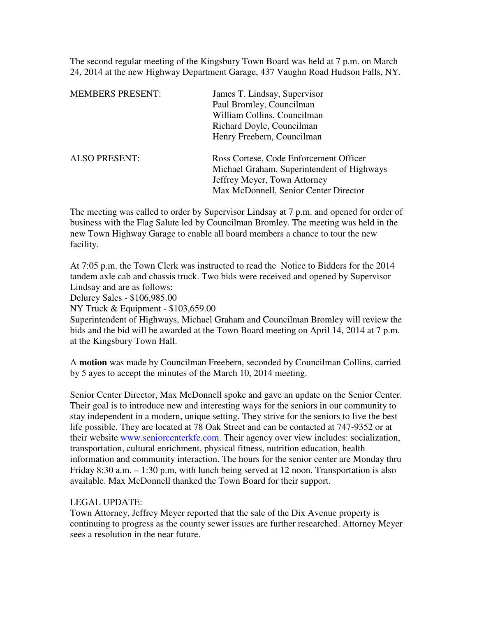The second regular meeting of the Kingsbury Town Board was held at 7 p.m. on March 24, 2014 at the new Highway Department Garage, 437 Vaughn Road Hudson Falls, NY.

| <b>MEMBERS PRESENT:</b> | James T. Lindsay, Supervisor               |
|-------------------------|--------------------------------------------|
|                         | Paul Bromley, Councilman                   |
|                         | William Collins, Councilman                |
|                         | Richard Doyle, Councilman                  |
|                         | Henry Freebern, Councilman                 |
| <b>ALSO PRESENT:</b>    | Ross Cortese, Code Enforcement Officer     |
|                         | Michael Graham, Superintendent of Highways |
|                         | Jeffrey Meyer, Town Attorney               |
|                         | Max McDonnell, Senior Center Director      |

The meeting was called to order by Supervisor Lindsay at 7 p.m. and opened for order of business with the Flag Salute led by Councilman Bromley. The meeting was held in the new Town Highway Garage to enable all board members a chance to tour the new facility.

At 7:05 p.m. the Town Clerk was instructed to read the Notice to Bidders for the 2014 tandem axle cab and chassis truck. Two bids were received and opened by Supervisor Lindsay and are as follows:

Delurey Sales - \$106,985.00

NY Truck & Equipment - \$103,659.00

Superintendent of Highways, Michael Graham and Councilman Bromley will review the bids and the bid will be awarded at the Town Board meeting on April 14, 2014 at 7 p.m. at the Kingsbury Town Hall.

A **motion** was made by Councilman Freebern, seconded by Councilman Collins, carried by 5 ayes to accept the minutes of the March 10, 2014 meeting.

Senior Center Director, Max McDonnell spoke and gave an update on the Senior Center. Their goal is to introduce new and interesting ways for the seniors in our community to stay independent in a modern, unique setting. They strive for the seniors to live the best life possible. They are located at 78 Oak Street and can be contacted at 747-9352 or at their website www.seniorcenterkfe.com. Their agency over view includes: socialization, transportation, cultural enrichment, physical fitness, nutrition education, health information and community interaction. The hours for the senior center are Monday thru Friday 8:30 a.m. – 1:30 p.m, with lunch being served at 12 noon. Transportation is also available. Max McDonnell thanked the Town Board for their support.

## LEGAL UPDATE:

Town Attorney, Jeffrey Meyer reported that the sale of the Dix Avenue property is continuing to progress as the county sewer issues are further researched. Attorney Meyer sees a resolution in the near future.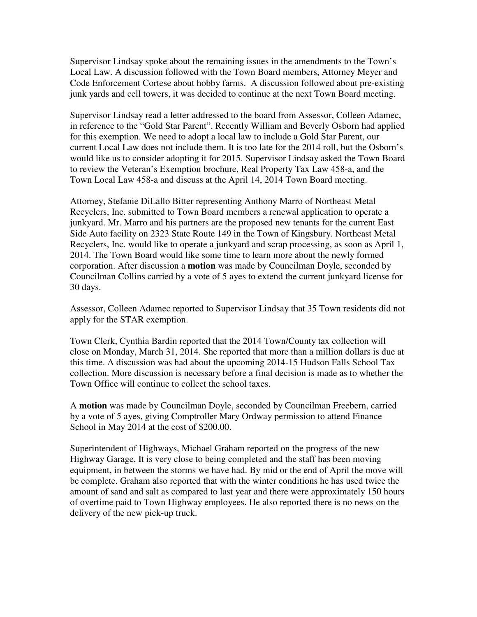Supervisor Lindsay spoke about the remaining issues in the amendments to the Town's Local Law. A discussion followed with the Town Board members, Attorney Meyer and Code Enforcement Cortese about hobby farms. A discussion followed about pre-existing junk yards and cell towers, it was decided to continue at the next Town Board meeting.

Supervisor Lindsay read a letter addressed to the board from Assessor, Colleen Adamec, in reference to the "Gold Star Parent". Recently William and Beverly Osborn had applied for this exemption. We need to adopt a local law to include a Gold Star Parent, our current Local Law does not include them. It is too late for the 2014 roll, but the Osborn's would like us to consider adopting it for 2015. Supervisor Lindsay asked the Town Board to review the Veteran's Exemption brochure, Real Property Tax Law 458-a, and the Town Local Law 458-a and discuss at the April 14, 2014 Town Board meeting.

Attorney, Stefanie DiLallo Bitter representing Anthony Marro of Northeast Metal Recyclers, Inc. submitted to Town Board members a renewal application to operate a junkyard. Mr. Marro and his partners are the proposed new tenants for the current East Side Auto facility on 2323 State Route 149 in the Town of Kingsbury. Northeast Metal Recyclers, Inc. would like to operate a junkyard and scrap processing, as soon as April 1, 2014. The Town Board would like some time to learn more about the newly formed corporation. After discussion a **motion** was made by Councilman Doyle, seconded by Councilman Collins carried by a vote of 5 ayes to extend the current junkyard license for 30 days.

Assessor, Colleen Adamec reported to Supervisor Lindsay that 35 Town residents did not apply for the STAR exemption.

Town Clerk, Cynthia Bardin reported that the 2014 Town/County tax collection will close on Monday, March 31, 2014. She reported that more than a million dollars is due at this time. A discussion was had about the upcoming 2014-15 Hudson Falls School Tax collection. More discussion is necessary before a final decision is made as to whether the Town Office will continue to collect the school taxes.

A **motion** was made by Councilman Doyle, seconded by Councilman Freebern, carried by a vote of 5 ayes, giving Comptroller Mary Ordway permission to attend Finance School in May 2014 at the cost of \$200.00.

Superintendent of Highways, Michael Graham reported on the progress of the new Highway Garage. It is very close to being completed and the staff has been moving equipment, in between the storms we have had. By mid or the end of April the move will be complete. Graham also reported that with the winter conditions he has used twice the amount of sand and salt as compared to last year and there were approximately 150 hours of overtime paid to Town Highway employees. He also reported there is no news on the delivery of the new pick-up truck.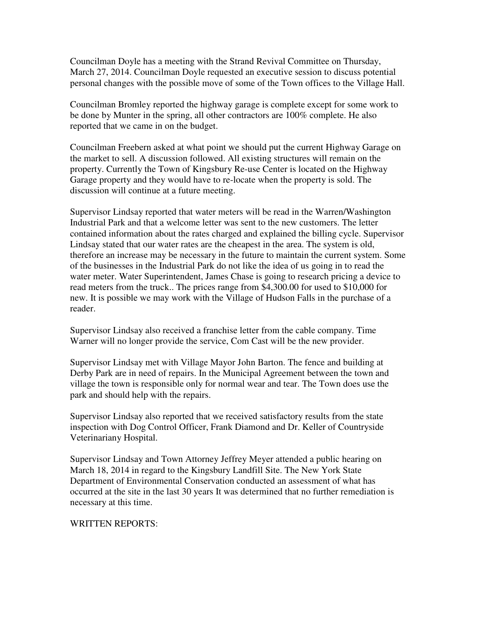Councilman Doyle has a meeting with the Strand Revival Committee on Thursday, March 27, 2014. Councilman Doyle requested an executive session to discuss potential personal changes with the possible move of some of the Town offices to the Village Hall.

Councilman Bromley reported the highway garage is complete except for some work to be done by Munter in the spring, all other contractors are 100% complete. He also reported that we came in on the budget.

Councilman Freebern asked at what point we should put the current Highway Garage on the market to sell. A discussion followed. All existing structures will remain on the property. Currently the Town of Kingsbury Re-use Center is located on the Highway Garage property and they would have to re-locate when the property is sold. The discussion will continue at a future meeting.

Supervisor Lindsay reported that water meters will be read in the Warren/Washington Industrial Park and that a welcome letter was sent to the new customers. The letter contained information about the rates charged and explained the billing cycle. Supervisor Lindsay stated that our water rates are the cheapest in the area. The system is old, therefore an increase may be necessary in the future to maintain the current system. Some of the businesses in the Industrial Park do not like the idea of us going in to read the water meter. Water Superintendent, James Chase is going to research pricing a device to read meters from the truck.. The prices range from \$4,300.00 for used to \$10,000 for new. It is possible we may work with the Village of Hudson Falls in the purchase of a reader.

Supervisor Lindsay also received a franchise letter from the cable company. Time Warner will no longer provide the service, Com Cast will be the new provider.

Supervisor Lindsay met with Village Mayor John Barton. The fence and building at Derby Park are in need of repairs. In the Municipal Agreement between the town and village the town is responsible only for normal wear and tear. The Town does use the park and should help with the repairs.

Supervisor Lindsay also reported that we received satisfactory results from the state inspection with Dog Control Officer, Frank Diamond and Dr. Keller of Countryside Veterinariany Hospital.

Supervisor Lindsay and Town Attorney Jeffrey Meyer attended a public hearing on March 18, 2014 in regard to the Kingsbury Landfill Site. The New York State Department of Environmental Conservation conducted an assessment of what has occurred at the site in the last 30 years It was determined that no further remediation is necessary at this time.

## WRITTEN REPORTS: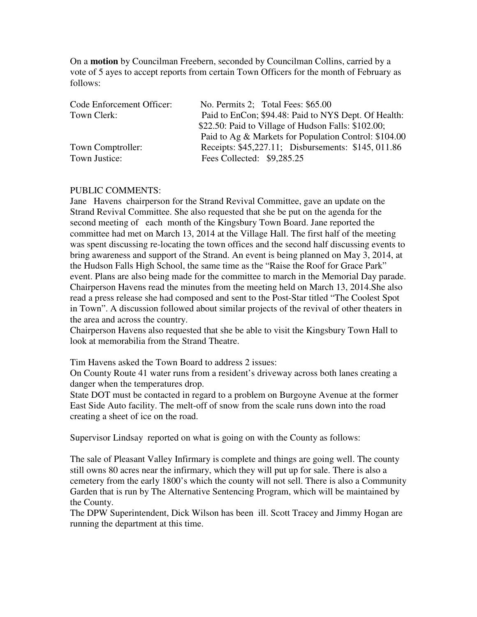On a **motion** by Councilman Freebern, seconded by Councilman Collins, carried by a vote of 5 ayes to accept reports from certain Town Officers for the month of February as follows:

| Code Enforcement Officer: | No. Permits 2; Total Fees: \$65.00                    |
|---------------------------|-------------------------------------------------------|
| Town Clerk:               | Paid to EnCon; \$94.48: Paid to NYS Dept. Of Health:  |
|                           | \$22.50: Paid to Village of Hudson Falls: \$102.00;   |
|                           | Paid to Ag & Markets for Population Control: \$104.00 |
| Town Comptroller:         | Receipts: \$45,227.11; Disbursements: \$145, 011.86   |
| Town Justice:             | Fees Collected: \$9,285.25                            |

## PUBLIC COMMENTS:

Jane Havens chairperson for the Strand Revival Committee, gave an update on the Strand Revival Committee. She also requested that she be put on the agenda for the second meeting of each month of the Kingsbury Town Board. Jane reported the committee had met on March 13, 2014 at the Village Hall. The first half of the meeting was spent discussing re-locating the town offices and the second half discussing events to bring awareness and support of the Strand. An event is being planned on May 3, 2014, at the Hudson Falls High School, the same time as the "Raise the Roof for Grace Park" event. Plans are also being made for the committee to march in the Memorial Day parade. Chairperson Havens read the minutes from the meeting held on March 13, 2014.She also read a press release she had composed and sent to the Post-Star titled "The Coolest Spot in Town". A discussion followed about similar projects of the revival of other theaters in the area and across the country.

Chairperson Havens also requested that she be able to visit the Kingsbury Town Hall to look at memorabilia from the Strand Theatre.

Tim Havens asked the Town Board to address 2 issues:

On County Route 41 water runs from a resident's driveway across both lanes creating a danger when the temperatures drop.

State DOT must be contacted in regard to a problem on Burgoyne Avenue at the former East Side Auto facility. The melt-off of snow from the scale runs down into the road creating a sheet of ice on the road.

Supervisor Lindsay reported on what is going on with the County as follows:

The sale of Pleasant Valley Infirmary is complete and things are going well. The county still owns 80 acres near the infirmary, which they will put up for sale. There is also a cemetery from the early 1800's which the county will not sell. There is also a Community Garden that is run by The Alternative Sentencing Program, which will be maintained by the County.

The DPW Superintendent, Dick Wilson has been ill. Scott Tracey and Jimmy Hogan are running the department at this time.